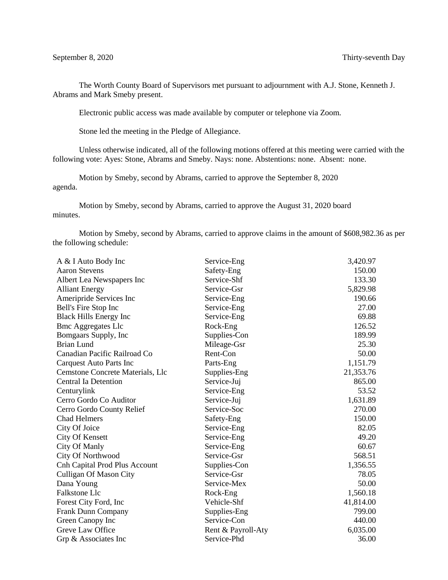The Worth County Board of Supervisors met pursuant to adjournment with A.J. Stone, Kenneth J. Abrams and Mark Smeby present.

Electronic public access was made available by computer or telephone via Zoom.

Stone led the meeting in the Pledge of Allegiance.

Unless otherwise indicated, all of the following motions offered at this meeting were carried with the following vote: Ayes: Stone, Abrams and Smeby. Nays: none. Abstentions: none. Absent: none.

Motion by Smeby, second by Abrams, carried to approve the September 8, 2020 agenda.

Motion by Smeby, second by Abrams, carried to approve the August 31, 2020 board minutes.

Motion by Smeby, second by Abrams, carried to approve claims in the amount of \$608,982.36 as per the following schedule:

| A & I Auto Body Inc                  | Service-Eng        | 3,420.97  |
|--------------------------------------|--------------------|-----------|
| <b>Aaron Stevens</b>                 | Safety-Eng         | 150.00    |
| Albert Lea Newspapers Inc            | Service-Shf        | 133.30    |
| <b>Alliant Energy</b>                | Service-Gsr        | 5,829.98  |
| Ameripride Services Inc              | Service-Eng        | 190.66    |
| Bell's Fire Stop Inc                 | Service-Eng        | 27.00     |
| <b>Black Hills Energy Inc</b>        | Service-Eng        | 69.88     |
| <b>Bmc Aggregates Llc</b>            | Rock-Eng           | 126.52    |
| Bomgaars Supply, Inc                 | Supplies-Con       | 189.99    |
| <b>Brian Lund</b>                    | Mileage-Gsr        | 25.30     |
| Canadian Pacific Railroad Co         | Rent-Con           | 50.00     |
| Carquest Auto Parts Inc              | Parts-Eng          | 1,151.79  |
| Cemstone Concrete Materials, Llc     | Supplies-Eng       | 21,353.76 |
| <b>Central Ia Detention</b>          | Service-Juj        | 865.00    |
| Centurylink                          | Service-Eng        | 53.52     |
| Cerro Gordo Co Auditor               | Service-Juj        | 1,631.89  |
| Cerro Gordo County Relief            | Service-Soc        | 270.00    |
| <b>Chad Helmers</b>                  | Safety-Eng         | 150.00    |
| City Of Joice                        | Service-Eng        | 82.05     |
| <b>City Of Kensett</b>               | Service-Eng        | 49.20     |
| City Of Manly                        | Service-Eng        | 60.67     |
| City Of Northwood                    | Service-Gsr        | 568.51    |
| <b>Cnh Capital Prod Plus Account</b> | Supplies-Con       | 1,356.55  |
| <b>Culligan Of Mason City</b>        | Service-Gsr        | 78.05     |
| Dana Young                           | Service-Mex        | 50.00     |
| Falkstone Llc                        | Rock-Eng           | 1,560.18  |
| Forest City Ford, Inc.               | Vehicle-Shf        | 41,814.00 |
| <b>Frank Dunn Company</b>            | Supplies-Eng       | 799.00    |
| Green Canopy Inc                     | Service-Con        | 440.00    |
| Greve Law Office                     | Rent & Payroll-Aty | 6,035.00  |
| Grp & Associates Inc                 | Service-Phd        | 36.00     |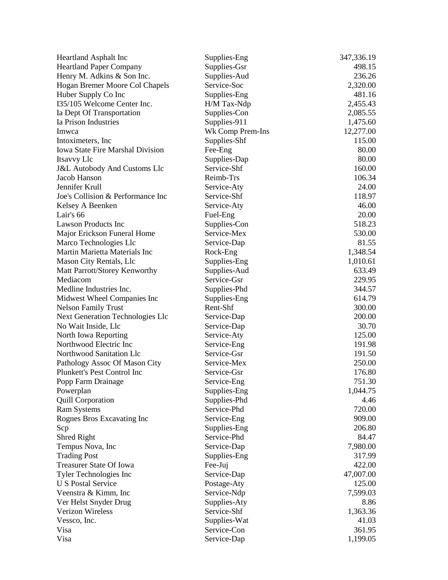| Heartland Asphalt Inc                            | Supplies-Eng                | 347,336.19 |
|--------------------------------------------------|-----------------------------|------------|
| <b>Heartland Paper Company</b>                   | Supplies-Gsr                | 498.15     |
| Henry M. Adkins & Son Inc.                       | Supplies-Aud                | 236.26     |
| Hogan Bremer Moore Col Chapels                   | Service-Soc                 | 2,320.00   |
| Huber Supply Co Inc                              | Supplies-Eng                | 481.16     |
| 135/105 Welcome Center Inc.                      | H/M Tax-Ndp                 | 2,455.43   |
| Ia Dept Of Transportation                        | Supplies-Con                | 2,085.55   |
| Ia Prison Industries                             | Supplies-911                | 1,475.60   |
| Imwca                                            | Wk Comp Prem-Ins            | 12,277.00  |
| Intoximeters, Inc.                               | Supplies-Shf                | 115.00     |
| <b>Iowa State Fire Marshal Division</b>          | Fee-Eng                     | 80.00      |
| Itsavvy Llc                                      | Supplies-Dap                | 80.00      |
| <b>J&amp;L Autobody And Customs Llc</b>          | Service-Shf                 | 160.00     |
| Jacob Hanson                                     | Reimb-Trs                   | 106.34     |
| Jennifer Krull                                   | Service-Aty                 | 24.00      |
| Joe's Collision & Performance Inc                | Service-Shf                 | 118.97     |
| Kelsey A Beenken                                 | Service-Aty                 | 46.00      |
| Lair's 66                                        | Fuel-Eng                    | 20.00      |
| <b>Lawson Products Inc</b>                       | Supplies-Con                | 518.23     |
| Major Erickson Funeral Home                      | Service-Mex                 | 530.00     |
| Marco Technologies Llc                           | Service-Dap                 | 81.55      |
| Martin Marietta Materials Inc                    | Rock-Eng                    | 1,348.54   |
| Mason City Rentals, Llc                          | Supplies-Eng                | 1,010.61   |
| Matt Parrott/Storey Kenworthy                    | Supplies-Aud                | 633.49     |
| Mediacom                                         | Service-Gsr                 | 229.95     |
| Medline Industries Inc.                          | Supplies-Phd                | 344.57     |
| Midwest Wheel Companies Inc                      | Supplies-Eng                | 614.79     |
| <b>Nelson Family Trust</b>                       | Rent-Shf                    | 300.00     |
| Next Generation Technologies Llc                 | Service-Dap                 | 200.00     |
| No Wait Inside, Llc                              | Service-Dap                 | 30.70      |
| North Iowa Reporting                             | Service-Aty                 | 125.00     |
| Northwood Electric Inc                           | Service-Eng                 | 191.98     |
| Northwood Sanitation Llc                         | Service-Gsr                 | 191.50     |
| Pathology Assoc Of Mason City                    | Service-Mex                 | 250.00     |
| Plunkett's Pest Control Inc                      | Service-Gsr                 | 176.80     |
| Popp Farm Drainage                               | Service-Eng                 | 751.30     |
| Powerplan                                        | Supplies-Eng                | 1,044.75   |
| <b>Quill Corporation</b>                         | Supplies-Phd                | 4.46       |
| <b>Ram Systems</b>                               | Service-Phd                 | 720.00     |
| Rognes Bros Excavating Inc                       | Service-Eng                 | 909.00     |
| Scp                                              | Supplies-Eng                | 206.80     |
| Shred Right                                      | Service-Phd                 | 84.47      |
| Tempus Nova, Inc                                 | Service-Dap                 | 7,980.00   |
| <b>Trading Post</b>                              | Supplies-Eng                | 317.99     |
| Treasurer State Of Iowa                          |                             | 422.00     |
| Tyler Technologies Inc                           | Fee-Juj<br>Service-Dap      | 47,007.00  |
| <b>U S Postal Service</b>                        |                             | 125.00     |
|                                                  | Postage-Aty                 |            |
| Veenstra & Kimm, Inc.                            | Service-Ndp                 | 7,599.03   |
| Ver Helst Snyder Drug<br><b>Verizon Wireless</b> | Supplies-Aty<br>Service-Shf | 8.86       |
|                                                  |                             | 1,363.36   |
| Vessco, Inc.                                     | Supplies-Wat                | 41.03      |
| Visa                                             | Service-Con                 | 361.95     |
| Visa                                             | Service-Dap                 | 1,199.05   |